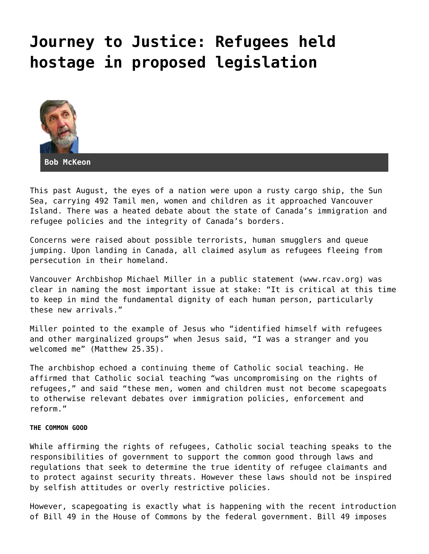## **[Journey to Justice: Refugees held](https://grandinmedia.ca/journey-to-justice-refugees-held-hostage-in-proposed-legislation/) [hostage in proposed legislation](https://grandinmedia.ca/journey-to-justice-refugees-held-hostage-in-proposed-legislation/)**



This past August, the eyes of a nation were upon a rusty cargo ship, the Sun Sea, carrying 492 Tamil men, women and children as it approached Vancouver Island. There was a heated debate about the state of Canada's immigration and refugee policies and the integrity of Canada's borders.

Concerns were raised about possible terrorists, human smugglers and queue jumping. Upon landing in Canada, all claimed asylum as refugees fleeing from persecution in their homeland.

Vancouver Archbishop Michael Miller in a public statement (www.rcav.org) was clear in naming the most important issue at stake: "It is critical at this time to keep in mind the fundamental dignity of each human person, particularly these new arrivals."

Miller pointed to the example of Jesus who "identified himself with refugees and other marginalized groups" when Jesus said, "I was a stranger and you welcomed me" (Matthew 25.35).

The archbishop echoed a continuing theme of Catholic social teaching. He affirmed that Catholic social teaching "was uncompromising on the rights of refugees," and said "these men, women and children must not become scapegoats to otherwise relevant debates over immigration policies, enforcement and reform."

## **THE COMMON GOOD**

While affirming the rights of refugees, Catholic social teaching speaks to the responsibilities of government to support the common good through laws and regulations that seek to determine the true identity of refugee claimants and to protect against security threats. However these laws should not be inspired by selfish attitudes or overly restrictive policies.

However, scapegoating is exactly what is happening with the recent introduction of Bill 49 in the House of Commons by the federal government. Bill 49 imposes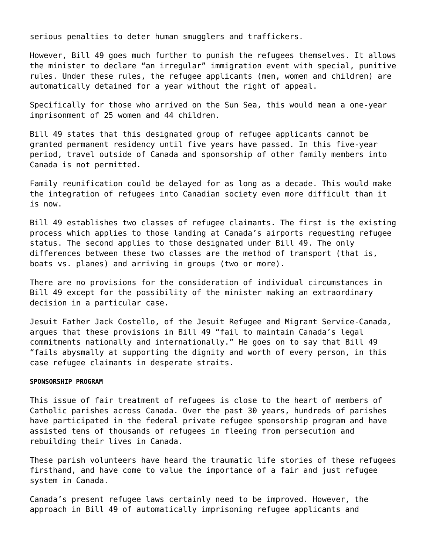serious penalties to deter human smugglers and traffickers.

However, Bill 49 goes much further to punish the refugees themselves. It allows the minister to declare "an irregular" immigration event with special, punitive rules. Under these rules, the refugee applicants (men, women and children) are automatically detained for a year without the right of appeal.

Specifically for those who arrived on the Sun Sea, this would mean a one-year imprisonment of 25 women and 44 children.

Bill 49 states that this designated group of refugee applicants cannot be granted permanent residency until five years have passed. In this five-year period, travel outside of Canada and sponsorship of other family members into Canada is not permitted.

Family reunification could be delayed for as long as a decade. This would make the integration of refugees into Canadian society even more difficult than it is now.

Bill 49 establishes two classes of refugee claimants. The first is the existing process which applies to those landing at Canada's airports requesting refugee status. The second applies to those designated under Bill 49. The only differences between these two classes are the method of transport (that is, boats vs. planes) and arriving in groups (two or more).

There are no provisions for the consideration of individual circumstances in Bill 49 except for the possibility of the minister making an extraordinary decision in a particular case.

Jesuit Father Jack Costello, of the Jesuit Refugee and Migrant Service-Canada, argues that these provisions in Bill 49 "fail to maintain Canada's legal commitments nationally and internationally." He goes on to say that Bill 49 "fails abysmally at supporting the dignity and worth of every person, in this case refugee claimants in desperate straits.

## **SPONSORSHIP PROGRAM**

This issue of fair treatment of refugees is close to the heart of members of Catholic parishes across Canada. Over the past 30 years, hundreds of parishes have participated in the federal private refugee sponsorship program and have assisted tens of thousands of refugees in fleeing from persecution and rebuilding their lives in Canada.

These parish volunteers have heard the traumatic life stories of these refugees firsthand, and have come to value the importance of a fair and just refugee system in Canada.

Canada's present refugee laws certainly need to be improved. However, the approach in Bill 49 of automatically imprisoning refugee applicants and